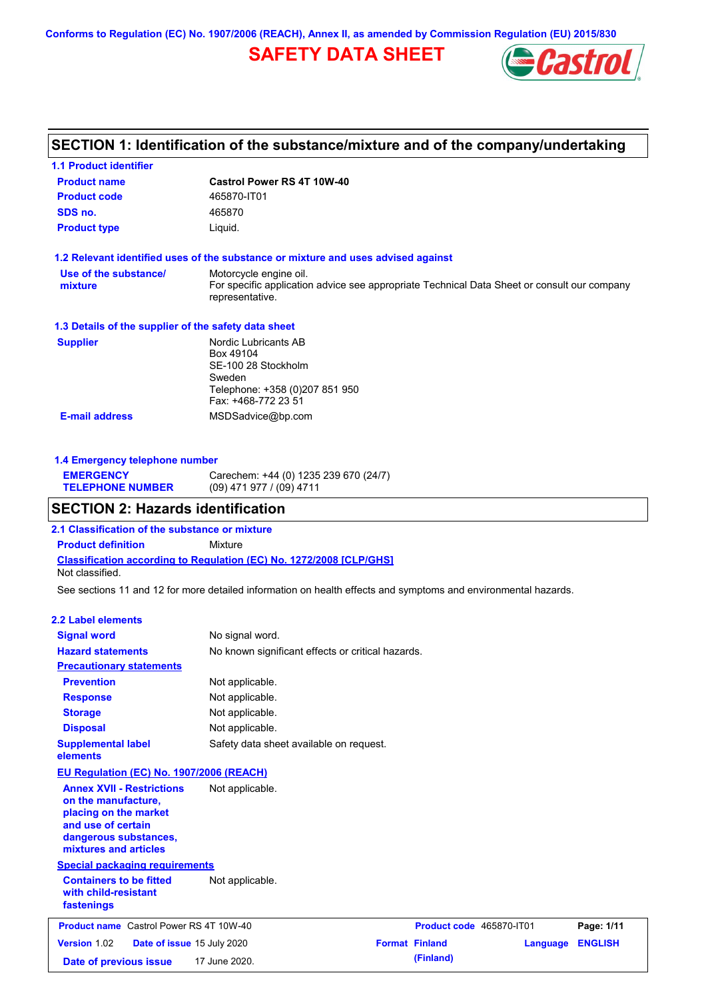**Conforms to Regulation (EC) No. 1907/2006 (REACH), Annex II, as amended by Commission Regulation (EU) 2015/830**

# **SAFETY DATA SHEET**



# **SECTION 1: Identification of the substance/mixture and of the company/undertaking**

| <b>1.1 Product identifier</b>                        |                                                                                                                                          |  |  |  |
|------------------------------------------------------|------------------------------------------------------------------------------------------------------------------------------------------|--|--|--|
| <b>Product name</b>                                  | Castrol Power RS 4T 10W-40                                                                                                               |  |  |  |
| <b>Product code</b>                                  | 465870-IT01                                                                                                                              |  |  |  |
| SDS no.                                              | 465870                                                                                                                                   |  |  |  |
| <b>Product type</b>                                  | Liquid.                                                                                                                                  |  |  |  |
|                                                      | 1.2 Relevant identified uses of the substance or mixture and uses advised against                                                        |  |  |  |
| Use of the substance/<br>mixture                     | Motorcycle engine oil.<br>For specific application advice see appropriate Technical Data Sheet or consult our company<br>representative. |  |  |  |
| 1.3 Details of the supplier of the safety data sheet |                                                                                                                                          |  |  |  |
| <b>Supplier</b>                                      | Nordic Lubricants AB<br>Box 49104<br>SE-100 28 Stockholm<br>Sweden<br>Telephone: +358 (0)207 851 950<br>Fax: +468-772 23 51              |  |  |  |
| <b>E-mail address</b>                                | MSDSadvice@bp.com                                                                                                                        |  |  |  |

| 1.4 Emergency telephone number |                                       |  |
|--------------------------------|---------------------------------------|--|
| <b>EMERGENCY</b>               | Carechem: +44 (0) 1235 239 670 (24/7) |  |
| <b>TELEPHONE NUMBER</b>        | (09) 471 977 / (09) 4711              |  |

### **SECTION 2: Hazards identification**

**Classification according to Regulation (EC) No. 1272/2008 [CLP/GHS] 2.1 Classification of the substance or mixture Product definition** Mixture Not classified.

See sections 11 and 12 for more detailed information on health effects and symptoms and environmental hazards.

### **2.2 Label elements**

| <b>Signal word</b><br><b>Hazard statements</b>                                                                                                           | No signal word.<br>No known significant effects or critical hazards. |                          |          |                |
|----------------------------------------------------------------------------------------------------------------------------------------------------------|----------------------------------------------------------------------|--------------------------|----------|----------------|
| <b>Precautionary statements</b>                                                                                                                          |                                                                      |                          |          |                |
| <b>Prevention</b>                                                                                                                                        | Not applicable.                                                      |                          |          |                |
| <b>Response</b>                                                                                                                                          | Not applicable.                                                      |                          |          |                |
| <b>Storage</b>                                                                                                                                           | Not applicable.                                                      |                          |          |                |
| <b>Disposal</b>                                                                                                                                          | Not applicable.                                                      |                          |          |                |
| <b>Supplemental label</b><br>elements                                                                                                                    | Safety data sheet available on request.                              |                          |          |                |
| <b>EU Regulation (EC) No. 1907/2006 (REACH)</b>                                                                                                          |                                                                      |                          |          |                |
| <b>Annex XVII - Restrictions</b><br>on the manufacture,<br>placing on the market<br>and use of certain<br>dangerous substances,<br>mixtures and articles | Not applicable.                                                      |                          |          |                |
| <b>Special packaging requirements</b>                                                                                                                    |                                                                      |                          |          |                |
| <b>Containers to be fitted</b><br>with child-resistant<br>fastenings                                                                                     | Not applicable.                                                      |                          |          |                |
| <b>Product name</b> Castrol Power RS 4T 10W-40                                                                                                           |                                                                      | Product code 465870-IT01 |          | Page: 1/11     |
| <b>Version 1.02</b><br>Date of issue 15 July 2020                                                                                                        |                                                                      | <b>Format Finland</b>    | Language | <b>ENGLISH</b> |
| Date of previous issue                                                                                                                                   | 17 June 2020.                                                        | (Finland)                |          |                |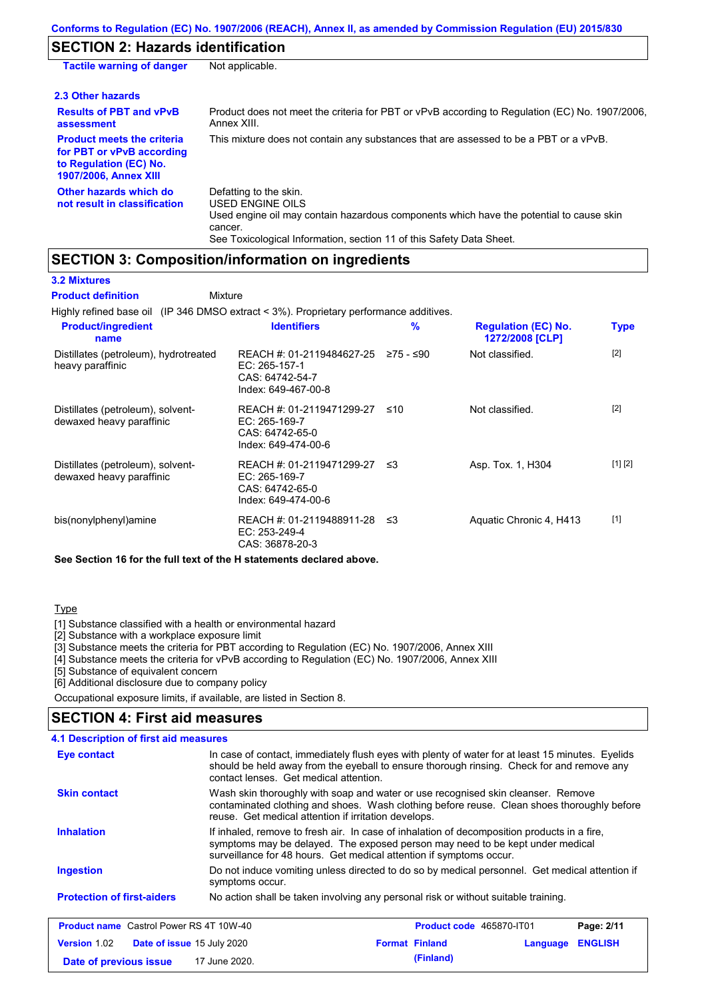# **SECTION 2: Hazards identification**

| <b>Tactile warning of danger</b>                                                                                         | Not applicable.                                                                                                                                                                                                          |
|--------------------------------------------------------------------------------------------------------------------------|--------------------------------------------------------------------------------------------------------------------------------------------------------------------------------------------------------------------------|
| 2.3 Other hazards                                                                                                        |                                                                                                                                                                                                                          |
| <b>Results of PBT and vPvB</b><br>assessment                                                                             | Product does not meet the criteria for PBT or vPvB according to Regulation (EC) No. 1907/2006,<br>Annex XIII.                                                                                                            |
| <b>Product meets the criteria</b><br>for PBT or vPvB according<br>to Regulation (EC) No.<br><b>1907/2006, Annex XIII</b> | This mixture does not contain any substances that are assessed to be a PBT or a vPvB.                                                                                                                                    |
| Other hazards which do<br>not result in classification                                                                   | Defatting to the skin.<br>USED ENGINE OILS<br>Used engine oil may contain hazardous components which have the potential to cause skin<br>cancer.<br>See Toxicological Information, section 11 of this Safety Data Sheet. |

# **SECTION 3: Composition/information on ingredients**

**3.2 Mixtures**

| <b>Product definition</b><br>Mixture                                                   |                                                                                        |               |                                               |             |
|----------------------------------------------------------------------------------------|----------------------------------------------------------------------------------------|---------------|-----------------------------------------------|-------------|
| Highly refined base oil (IP 346 DMSO extract < 3%). Proprietary performance additives. |                                                                                        |               |                                               |             |
| <b>Product/ingredient</b><br>name                                                      | <b>Identifiers</b>                                                                     | $\frac{9}{6}$ | <b>Regulation (EC) No.</b><br>1272/2008 [CLP] | <b>Type</b> |
| Distillates (petroleum), hydrotreated<br>heavy paraffinic                              | REACH #: 01-2119484627-25<br>EC: 265-157-1<br>CAS: 64742-54-7<br>Index: 649-467-00-8   | ≥75 - ≤90     | Not classified.                               | $[2]$       |
| Distillates (petroleum), solvent-<br>dewaxed heavy paraffinic                          | REACH #: 01-2119471299-27<br>EC: 265-169-7<br>CAS: 64742-65-0<br>Index: 649-474-00-6   | ≤10           | Not classified.                               | $[2]$       |
| Distillates (petroleum), solvent-<br>dewaxed heavy paraffinic                          | REACH #: 01-2119471299-27<br>$EC: 265-169-7$<br>CAS: 64742-65-0<br>Index: 649-474-00-6 | ב≥            | Asp. Tox. 1, H304                             | [1] [2]     |
| bis(nonylphenyl)amine                                                                  | REACH #: 01-2119488911-28<br>$EC: 253-249-4$<br>CAS: 36878-20-3                        | ב≥            | Aquatic Chronic 4, H413                       | $[1]$       |

**See Section 16 for the full text of the H statements declared above.**

### **Type**

[1] Substance classified with a health or environmental hazard

[2] Substance with a workplace exposure limit

[3] Substance meets the criteria for PBT according to Regulation (EC) No. 1907/2006, Annex XIII

[4] Substance meets the criteria for vPvB according to Regulation (EC) No. 1907/2006, Annex XIII

**Date of previous issue 17 June 2020. (Finland)** (Finland)

[5] Substance of equivalent concern

[6] Additional disclosure due to company policy

Occupational exposure limits, if available, are listed in Section 8.

## **SECTION 4: First aid measures**

| 4.1 Description of first aid measures                    |                                                                                                                                                                                                                                                     |
|----------------------------------------------------------|-----------------------------------------------------------------------------------------------------------------------------------------------------------------------------------------------------------------------------------------------------|
| Eye contact                                              | In case of contact, immediately flush eyes with plenty of water for at least 15 minutes. Eyelids<br>should be held away from the eyeball to ensure thorough rinsing. Check for and remove any<br>contact lenses. Get medical attention.             |
| <b>Skin contact</b>                                      | Wash skin thoroughly with soap and water or use recognised skin cleanser. Remove<br>contaminated clothing and shoes. Wash clothing before reuse. Clean shoes thoroughly before<br>reuse. Get medical attention if irritation develops.              |
| <b>Inhalation</b>                                        | If inhaled, remove to fresh air. In case of inhalation of decomposition products in a fire,<br>symptoms may be delayed. The exposed person may need to be kept under medical<br>surveillance for 48 hours. Get medical attention if symptoms occur. |
| <b>Ingestion</b>                                         | Do not induce vomiting unless directed to do so by medical personnel. Get medical attention if<br>symptoms occur.                                                                                                                                   |
| <b>Protection of first-aiders</b>                        | No action shall be taken involving any personal risk or without suitable training.                                                                                                                                                                  |
| <b>Product name</b> Castrol Power RS 4T 10W-40           | Page: 2/11<br><b>Product code</b> 465870-IT01                                                                                                                                                                                                       |
| <b>Version 1.02</b><br><b>Date of issue 15 July 2020</b> | <b>ENGLISH</b><br><b>Format Finland</b><br>Language                                                                                                                                                                                                 |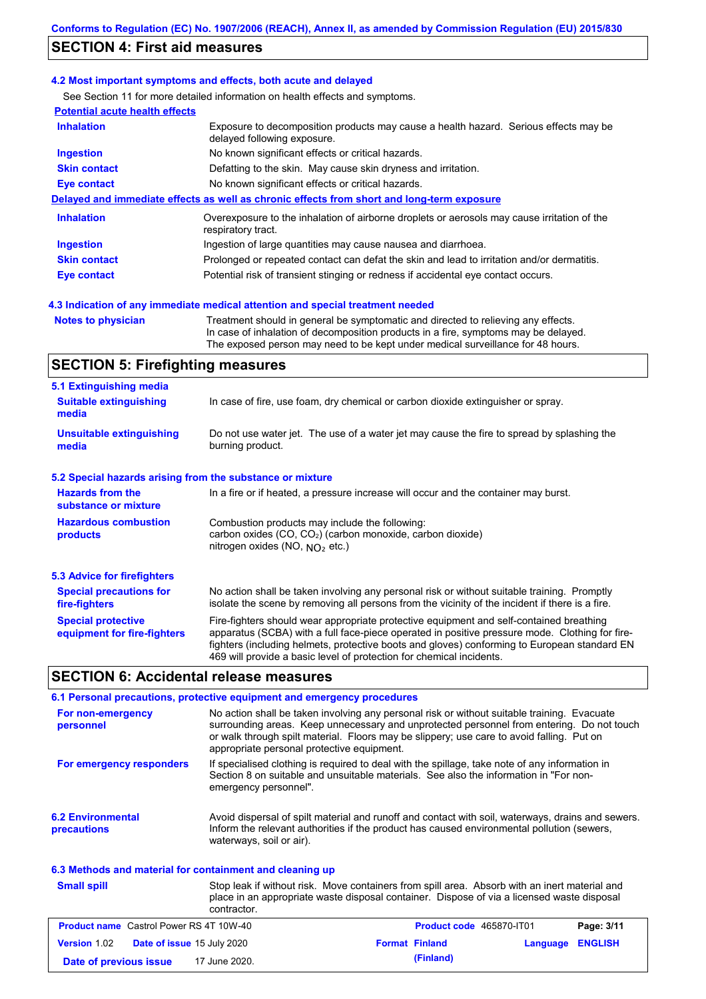## **SECTION 4: First aid measures**

### **4.2 Most important symptoms and effects, both acute and delayed**

See Section 11 for more detailed information on health effects and symptoms.

| <b>Potential acute health effects</b> |                                                                                                                     |
|---------------------------------------|---------------------------------------------------------------------------------------------------------------------|
| <b>Inhalation</b>                     | Exposure to decomposition products may cause a health hazard. Serious effects may be<br>delayed following exposure. |
| <b>Ingestion</b>                      | No known significant effects or critical hazards.                                                                   |
| <b>Skin contact</b>                   | Defatting to the skin. May cause skin dryness and irritation.                                                       |
| Eye contact                           | No known significant effects or critical hazards.                                                                   |
|                                       | Delayed and immediate effects as well as chronic effects from short and long-term exposure                          |
| <b>Inhalation</b>                     | Overexposure to the inhalation of airborne droplets or aerosols may cause irritation of the<br>respiratory tract.   |
| <b>Ingestion</b>                      | Ingestion of large quantities may cause nausea and diarrhoea.                                                       |
| <b>Skin contact</b>                   | Prolonged or repeated contact can defat the skin and lead to irritation and/or dermatitis.                          |
| Eye contact                           | Potential risk of transient stinging or redness if accidental eye contact occurs.                                   |

### **4.3 Indication of any immediate medical attention and special treatment needed**

**Notes to physician** Treatment should in general be symptomatic and directed to relieving any effects. In case of inhalation of decomposition products in a fire, symptoms may be delayed. The exposed person may need to be kept under medical surveillance for 48 hours.

# **SECTION 5: Firefighting measures**

| 5.1 Extinguishing media                                                                                                                                                                                                                                                                                                                                                                                                       |                                                                                                                                                                                                |
|-------------------------------------------------------------------------------------------------------------------------------------------------------------------------------------------------------------------------------------------------------------------------------------------------------------------------------------------------------------------------------------------------------------------------------|------------------------------------------------------------------------------------------------------------------------------------------------------------------------------------------------|
| <b>Suitable extinguishing</b><br>In case of fire, use foam, dry chemical or carbon dioxide extinguisher or spray.<br>media                                                                                                                                                                                                                                                                                                    |                                                                                                                                                                                                |
| <b>Unsuitable extinguishing</b><br>media                                                                                                                                                                                                                                                                                                                                                                                      | Do not use water jet. The use of a water jet may cause the fire to spread by splashing the<br>burning product.                                                                                 |
| 5.2 Special hazards arising from the substance or mixture                                                                                                                                                                                                                                                                                                                                                                     |                                                                                                                                                                                                |
| <b>Hazards from the</b><br>In a fire or if heated, a pressure increase will occur and the container may burst.<br>substance or mixture                                                                                                                                                                                                                                                                                        |                                                                                                                                                                                                |
| <b>Hazardous combustion</b><br>Combustion products may include the following:<br>carbon oxides (CO, CO <sub>2</sub> ) (carbon monoxide, carbon dioxide)<br>products<br>nitrogen oxides (NO, $NO2$ etc.)                                                                                                                                                                                                                       |                                                                                                                                                                                                |
| 5.3 Advice for firefighters                                                                                                                                                                                                                                                                                                                                                                                                   |                                                                                                                                                                                                |
| <b>Special precautions for</b><br>fire-fighters                                                                                                                                                                                                                                                                                                                                                                               | No action shall be taken involving any personal risk or without suitable training. Promptly<br>isolate the scene by removing all persons from the vicinity of the incident if there is a fire. |
| Fire-fighters should wear appropriate protective equipment and self-contained breathing<br><b>Special protective</b><br>apparatus (SCBA) with a full face-piece operated in positive pressure mode. Clothing for fire-<br>equipment for fire-fighters<br>fighters (including helmets, protective boots and gloves) conforming to European standard EN<br>469 will provide a basic level of protection for chemical incidents. |                                                                                                                                                                                                |

### **SECTION 6: Accidental release measures**

|                                         | 6.1 Personal precautions, protective equipment and emergency procedures                                                                                                                                                                                                                                                             |  |  |
|-----------------------------------------|-------------------------------------------------------------------------------------------------------------------------------------------------------------------------------------------------------------------------------------------------------------------------------------------------------------------------------------|--|--|
| For non-emergency<br>personnel          | No action shall be taken involving any personal risk or without suitable training. Evacuate<br>surrounding areas. Keep unnecessary and unprotected personnel from entering. Do not touch<br>or walk through spilt material. Floors may be slippery; use care to avoid falling. Put on<br>appropriate personal protective equipment. |  |  |
| For emergency responders                | If specialised clothing is required to deal with the spillage, take note of any information in<br>Section 8 on suitable and unsuitable materials. See also the information in "For non-<br>emergency personnel".                                                                                                                    |  |  |
| <b>6.2 Environmental</b><br>precautions | Avoid dispersal of spilt material and runoff and contact with soil, waterways, drains and sewers.<br>Inform the relevant authorities if the product has caused environmental pollution (sewers,<br>waterways, soil or air).                                                                                                         |  |  |

#### Stop leak if without risk. Move containers from spill area. Absorb with an inert material and place in an appropriate waste disposal container. Dispose of via a licensed waste disposal contractor. **Small spill 6.3 Methods and material for containment and cleaning up Product name** Castrol Power RS 4T 10W-40 **Product code** 465870-IT01 **Page: 3/11 Version** 1.02 **Date of issue** 15 July 2020 **Format Finland Language ENGLISH Date of previous issue 17 June 2020. (Finland)** (Finland)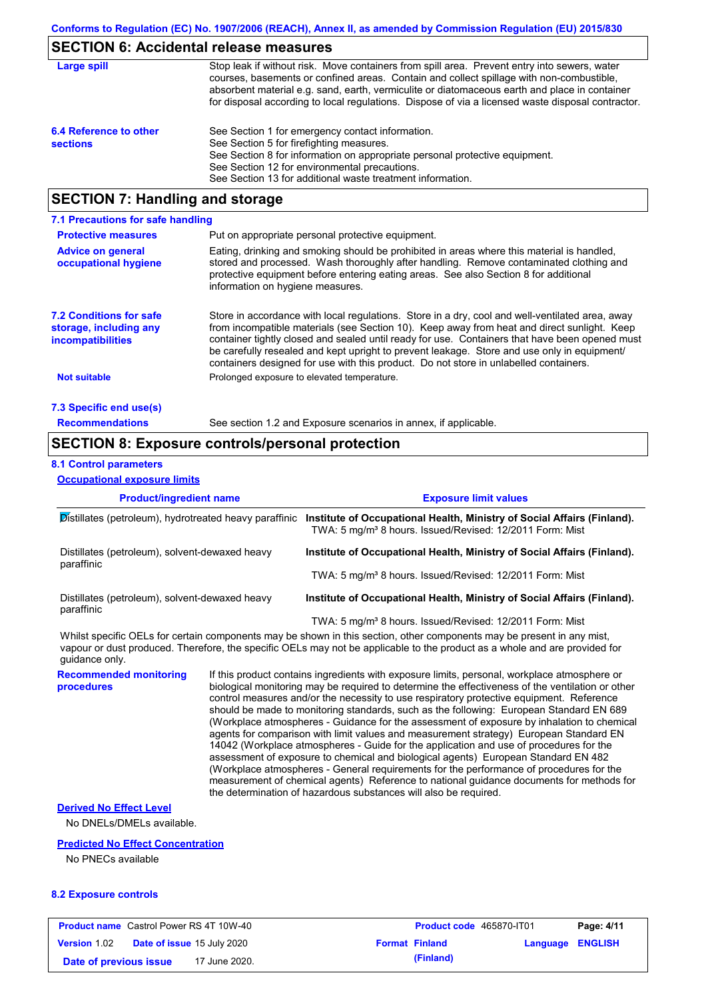## **SECTION 6: Accidental release measures**

| Large spill                               | Stop leak if without risk. Move containers from spill area. Prevent entry into sewers, water<br>courses, basements or confined areas. Contain and collect spillage with non-combustible,<br>absorbent material e.g. sand, earth, vermiculite or diatomaceous earth and place in container<br>for disposal according to local regulations. Dispose of via a licensed waste disposal contractor. |
|-------------------------------------------|------------------------------------------------------------------------------------------------------------------------------------------------------------------------------------------------------------------------------------------------------------------------------------------------------------------------------------------------------------------------------------------------|
| 6.4 Reference to other<br><b>sections</b> | See Section 1 for emergency contact information.<br>See Section 5 for firefighting measures.<br>See Section 8 for information on appropriate personal protective equipment.<br>See Section 12 for environmental precautions.<br>See Section 13 for additional waste treatment information.                                                                                                     |

# **SECTION 7: Handling and storage**

| 7.1 Precautions for safe handling                                                    |                                                                                                                                                                                                                                                                                                                                                                                                                                                                                          |  |  |
|--------------------------------------------------------------------------------------|------------------------------------------------------------------------------------------------------------------------------------------------------------------------------------------------------------------------------------------------------------------------------------------------------------------------------------------------------------------------------------------------------------------------------------------------------------------------------------------|--|--|
| Put on appropriate personal protective equipment.<br><b>Protective measures</b>      |                                                                                                                                                                                                                                                                                                                                                                                                                                                                                          |  |  |
| <b>Advice on general</b><br>occupational hygiene                                     | Eating, drinking and smoking should be prohibited in areas where this material is handled.<br>stored and processed. Wash thoroughly after handling. Remove contaminated clothing and<br>protective equipment before entering eating areas. See also Section 8 for additional<br>information on hygiene measures.                                                                                                                                                                         |  |  |
| <b>7.2 Conditions for safe</b><br>storage, including any<br><i>incompatibilities</i> | Store in accordance with local requiations. Store in a dry, cool and well-ventilated area, away<br>from incompatible materials (see Section 10). Keep away from heat and direct sunlight. Keep<br>container tightly closed and sealed until ready for use. Containers that have been opened must<br>be carefully resealed and kept upright to prevent leakage. Store and use only in equipment/<br>containers designed for use with this product. Do not store in unlabelled containers. |  |  |
| <b>Not suitable</b>                                                                  | Prolonged exposure to elevated temperature.                                                                                                                                                                                                                                                                                                                                                                                                                                              |  |  |
| 7.3 Specific end use(s)                                                              |                                                                                                                                                                                                                                                                                                                                                                                                                                                                                          |  |  |
| <b>Recommendations</b>                                                               | See section 1.2 and Exposure scenarios in annex, if applicable.                                                                                                                                                                                                                                                                                                                                                                                                                          |  |  |

## **SECTION 8: Exposure controls/personal protection**

### **8.1 Control parameters**

**Occupational exposure limits**

| <b>Product/ingredient name</b>                               |                                                                                                                                                                                                                                                                                                                                                                                         | <b>Exposure limit values</b>                                                                                                                                                                                                                         |  |
|--------------------------------------------------------------|-----------------------------------------------------------------------------------------------------------------------------------------------------------------------------------------------------------------------------------------------------------------------------------------------------------------------------------------------------------------------------------------|------------------------------------------------------------------------------------------------------------------------------------------------------------------------------------------------------------------------------------------------------|--|
| Distillates (petroleum), hydrotreated heavy paraffinic       |                                                                                                                                                                                                                                                                                                                                                                                         | Institute of Occupational Health, Ministry of Social Affairs (Finland).<br>TWA: 5 mg/m <sup>3</sup> 8 hours. Issued/Revised: 12/2011 Form: Mist                                                                                                      |  |
| Distillates (petroleum), solvent-dewaxed heavy               |                                                                                                                                                                                                                                                                                                                                                                                         | Institute of Occupational Health, Ministry of Social Affairs (Finland).                                                                                                                                                                              |  |
| paraffinic                                                   |                                                                                                                                                                                                                                                                                                                                                                                         | TWA: 5 mg/m <sup>3</sup> 8 hours. Issued/Revised: 12/2011 Form: Mist                                                                                                                                                                                 |  |
| Distillates (petroleum), solvent-dewaxed heavy<br>paraffinic |                                                                                                                                                                                                                                                                                                                                                                                         | Institute of Occupational Health, Ministry of Social Affairs (Finland).                                                                                                                                                                              |  |
|                                                              |                                                                                                                                                                                                                                                                                                                                                                                         | TWA: 5 mg/m <sup>3</sup> 8 hours. Issued/Revised: 12/2011 Form: Mist                                                                                                                                                                                 |  |
| guidance only.                                               |                                                                                                                                                                                                                                                                                                                                                                                         | Whilst specific OELs for certain components may be shown in this section, other components may be present in any mist,<br>vapour or dust produced. Therefore, the specific OELs may not be applicable to the product as a whole and are provided for |  |
| <b>Recommended monitoring</b><br>procedures                  | If this product contains ingredients with exposure limits, personal, workplace atmosphere or<br>biological monitoring may be required to determine the effectiveness of the ventilation or other<br>control measures and/or the necessity to use respiratory protective equipment. Reference<br>should be made to monitoring standards, such as the following: European Standard EN 689 |                                                                                                                                                                                                                                                      |  |

should be made to monitoring standards, such as the following: European Standard EN 689 (Workplace atmospheres - Guidance for the assessment of exposure by inhalation to chemical agents for comparison with limit values and measurement strategy) European Standard EN 14042 (Workplace atmospheres - Guide for the application and use of procedures for the assessment of exposure to chemical and biological agents) European Standard EN 482 (Workplace atmospheres - General requirements for the performance of procedures for the measurement of chemical agents) Reference to national guidance documents for methods for the determination of hazardous substances will also be required.

#### **Derived No Effect Level**

No DNELs/DMELs available.

### **Predicted No Effect Concentration**

No PNECs available

### **8.2 Exposure controls**

| <b>Product name</b> Castrol Power RS 4T 10W-40 |                                   | <b>Product code</b> 465870-IT01 |  | Page: 4/11            |                         |  |
|------------------------------------------------|-----------------------------------|---------------------------------|--|-----------------------|-------------------------|--|
| <b>Version</b> 1.02                            | <b>Date of issue 15 July 2020</b> |                                 |  | <b>Format Finland</b> | <b>Language ENGLISH</b> |  |
| Date of previous issue                         |                                   | 17 June 2020.                   |  | (Finland)             |                         |  |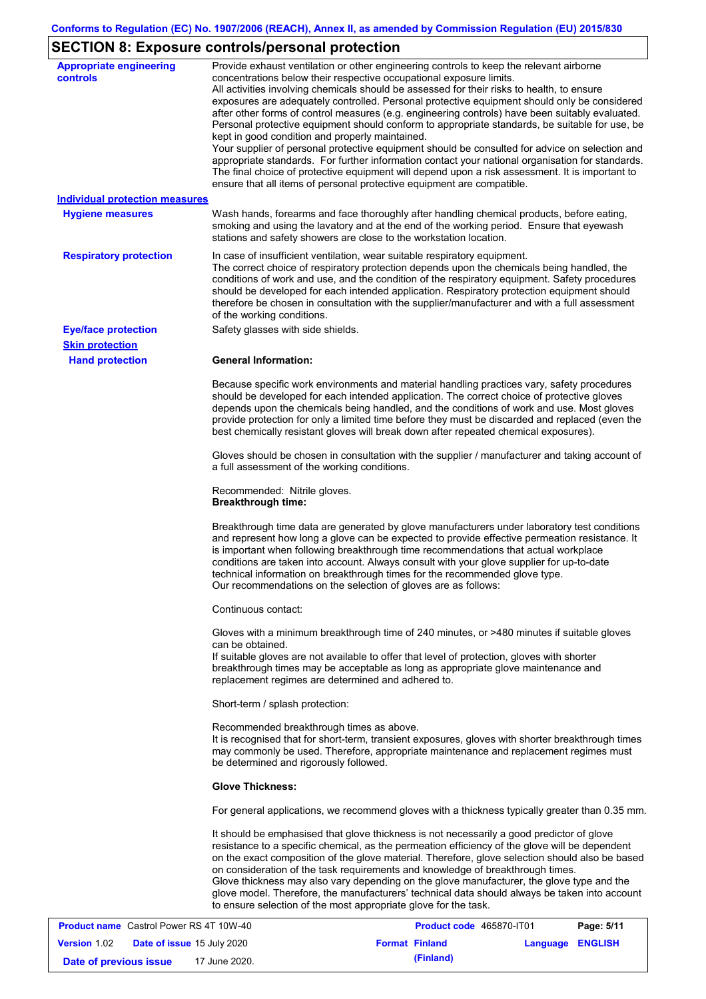# **SECTION 8: Exposure controls/personal protection**

| <b>Appropriate engineering</b><br><b>controls</b> | Provide exhaust ventilation or other engineering controls to keep the relevant airborne<br>concentrations below their respective occupational exposure limits.<br>All activities involving chemicals should be assessed for their risks to health, to ensure<br>exposures are adequately controlled. Personal protective equipment should only be considered<br>after other forms of control measures (e.g. engineering controls) have been suitably evaluated.<br>Personal protective equipment should conform to appropriate standards, be suitable for use, be<br>kept in good condition and properly maintained.<br>Your supplier of personal protective equipment should be consulted for advice on selection and<br>appropriate standards. For further information contact your national organisation for standards.<br>The final choice of protective equipment will depend upon a risk assessment. It is important to<br>ensure that all items of personal protective equipment are compatible. |
|---------------------------------------------------|---------------------------------------------------------------------------------------------------------------------------------------------------------------------------------------------------------------------------------------------------------------------------------------------------------------------------------------------------------------------------------------------------------------------------------------------------------------------------------------------------------------------------------------------------------------------------------------------------------------------------------------------------------------------------------------------------------------------------------------------------------------------------------------------------------------------------------------------------------------------------------------------------------------------------------------------------------------------------------------------------------|
| <b>Individual protection measures</b>             |                                                                                                                                                                                                                                                                                                                                                                                                                                                                                                                                                                                                                                                                                                                                                                                                                                                                                                                                                                                                         |
| <b>Hygiene measures</b>                           | Wash hands, forearms and face thoroughly after handling chemical products, before eating,<br>smoking and using the lavatory and at the end of the working period. Ensure that eyewash<br>stations and safety showers are close to the workstation location.                                                                                                                                                                                                                                                                                                                                                                                                                                                                                                                                                                                                                                                                                                                                             |
| <b>Respiratory protection</b>                     | In case of insufficient ventilation, wear suitable respiratory equipment.<br>The correct choice of respiratory protection depends upon the chemicals being handled, the<br>conditions of work and use, and the condition of the respiratory equipment. Safety procedures<br>should be developed for each intended application. Respiratory protection equipment should<br>therefore be chosen in consultation with the supplier/manufacturer and with a full assessment<br>of the working conditions.                                                                                                                                                                                                                                                                                                                                                                                                                                                                                                   |
| <b>Eye/face protection</b>                        | Safety glasses with side shields.                                                                                                                                                                                                                                                                                                                                                                                                                                                                                                                                                                                                                                                                                                                                                                                                                                                                                                                                                                       |
| <b>Skin protection</b>                            |                                                                                                                                                                                                                                                                                                                                                                                                                                                                                                                                                                                                                                                                                                                                                                                                                                                                                                                                                                                                         |
| <b>Hand protection</b>                            | <b>General Information:</b>                                                                                                                                                                                                                                                                                                                                                                                                                                                                                                                                                                                                                                                                                                                                                                                                                                                                                                                                                                             |
|                                                   | Because specific work environments and material handling practices vary, safety procedures<br>should be developed for each intended application. The correct choice of protective gloves<br>depends upon the chemicals being handled, and the conditions of work and use. Most gloves<br>provide protection for only a limited time before they must be discarded and replaced (even the<br>best chemically resistant gloves will break down after repeated chemical exposures).                                                                                                                                                                                                                                                                                                                                                                                                                                                                                                                        |
|                                                   | Gloves should be chosen in consultation with the supplier / manufacturer and taking account of<br>a full assessment of the working conditions.                                                                                                                                                                                                                                                                                                                                                                                                                                                                                                                                                                                                                                                                                                                                                                                                                                                          |
|                                                   | Recommended: Nitrile gloves.<br><b>Breakthrough time:</b>                                                                                                                                                                                                                                                                                                                                                                                                                                                                                                                                                                                                                                                                                                                                                                                                                                                                                                                                               |
|                                                   | Breakthrough time data are generated by glove manufacturers under laboratory test conditions<br>and represent how long a glove can be expected to provide effective permeation resistance. It<br>is important when following breakthrough time recommendations that actual workplace<br>conditions are taken into account. Always consult with your glove supplier for up-to-date<br>technical information on breakthrough times for the recommended glove type.<br>Our recommendations on the selection of gloves are as follows:                                                                                                                                                                                                                                                                                                                                                                                                                                                                      |
|                                                   | Continuous contact:                                                                                                                                                                                                                                                                                                                                                                                                                                                                                                                                                                                                                                                                                                                                                                                                                                                                                                                                                                                     |
|                                                   | Gloves with a minimum breakthrough time of 240 minutes, or >480 minutes if suitable gloves<br>can be obtained.<br>If suitable gloves are not available to offer that level of protection, gloves with shorter<br>breakthrough times may be acceptable as long as appropriate glove maintenance and<br>replacement regimes are determined and adhered to.                                                                                                                                                                                                                                                                                                                                                                                                                                                                                                                                                                                                                                                |
|                                                   | Short-term / splash protection:                                                                                                                                                                                                                                                                                                                                                                                                                                                                                                                                                                                                                                                                                                                                                                                                                                                                                                                                                                         |
|                                                   | Recommended breakthrough times as above.<br>It is recognised that for short-term, transient exposures, gloves with shorter breakthrough times<br>may commonly be used. Therefore, appropriate maintenance and replacement regimes must<br>be determined and rigorously followed.                                                                                                                                                                                                                                                                                                                                                                                                                                                                                                                                                                                                                                                                                                                        |
|                                                   | <b>Glove Thickness:</b>                                                                                                                                                                                                                                                                                                                                                                                                                                                                                                                                                                                                                                                                                                                                                                                                                                                                                                                                                                                 |
|                                                   | For general applications, we recommend gloves with a thickness typically greater than 0.35 mm.                                                                                                                                                                                                                                                                                                                                                                                                                                                                                                                                                                                                                                                                                                                                                                                                                                                                                                          |
|                                                   | It should be emphasised that glove thickness is not necessarily a good predictor of glove<br>resistance to a specific chemical, as the permeation efficiency of the glove will be dependent<br>on the exact composition of the glove material. Therefore, glove selection should also be based<br>on consideration of the task requirements and knowledge of breakthrough times.<br>Glove thickness may also vary depending on the glove manufacturer, the glove type and the<br>glove model. Therefore, the manufacturers' technical data should always be taken into account<br>to ensure selection of the most appropriate glove for the task.                                                                                                                                                                                                                                                                                                                                                       |
| <b>Product name</b> Castrol Power RS 4T 10W-40    | Page: 5/11<br><b>Product code</b> 465870-JT01                                                                                                                                                                                                                                                                                                                                                                                                                                                                                                                                                                                                                                                                                                                                                                                                                                                                                                                                                           |

| <b>Product name</b> Castrol Power RS 4T 10W-40 |                                   |               | <b>Product code</b> 465870-IT01 |                         | Page: 5/11 |
|------------------------------------------------|-----------------------------------|---------------|---------------------------------|-------------------------|------------|
| <b>Version 1.02</b>                            | <b>Date of issue 15 July 2020</b> |               | <b>Format Finland</b>           | <b>Language ENGLISH</b> |            |
| Date of previous issue                         |                                   | 17 June 2020. | (Finland)                       |                         |            |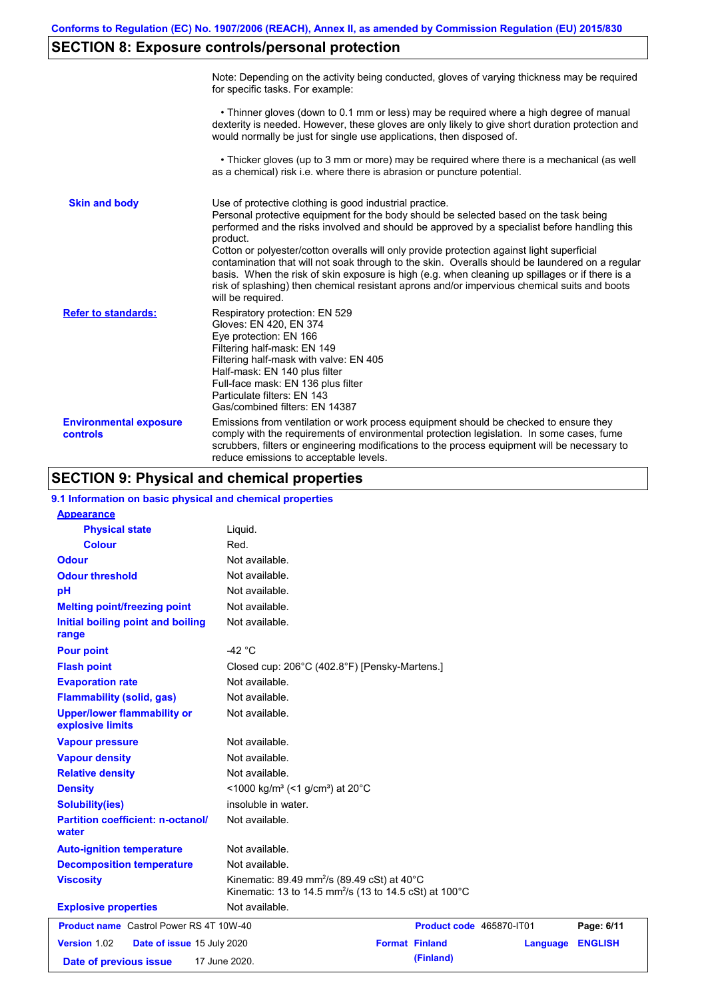# **SECTION 8: Exposure controls/personal protection**

|                                           | Note: Depending on the activity being conducted, gloves of varying thickness may be required<br>for specific tasks. For example:                                                                                                                                                                                                                                                                                                                                                                                                                                                                                                                                                      |
|-------------------------------------------|---------------------------------------------------------------------------------------------------------------------------------------------------------------------------------------------------------------------------------------------------------------------------------------------------------------------------------------------------------------------------------------------------------------------------------------------------------------------------------------------------------------------------------------------------------------------------------------------------------------------------------------------------------------------------------------|
|                                           | • Thinner gloves (down to 0.1 mm or less) may be required where a high degree of manual<br>dexterity is needed. However, these gloves are only likely to give short duration protection and<br>would normally be just for single use applications, then disposed of.                                                                                                                                                                                                                                                                                                                                                                                                                  |
|                                           | • Thicker gloves (up to 3 mm or more) may be required where there is a mechanical (as well<br>as a chemical) risk i.e. where there is abrasion or puncture potential.                                                                                                                                                                                                                                                                                                                                                                                                                                                                                                                 |
| <b>Skin and body</b>                      | Use of protective clothing is good industrial practice.<br>Personal protective equipment for the body should be selected based on the task being<br>performed and the risks involved and should be approved by a specialist before handling this<br>product.<br>Cotton or polyester/cotton overalls will only provide protection against light superficial<br>contamination that will not soak through to the skin. Overalls should be laundered on a regular<br>basis. When the risk of skin exposure is high (e.g. when cleaning up spillages or if there is a<br>risk of splashing) then chemical resistant aprons and/or impervious chemical suits and boots<br>will be required. |
| <b>Refer to standards:</b>                | Respiratory protection: EN 529<br>Gloves: EN 420, EN 374<br>Eye protection: EN 166<br>Filtering half-mask: EN 149<br>Filtering half-mask with valve: EN 405<br>Half-mask: EN 140 plus filter<br>Full-face mask: EN 136 plus filter<br>Particulate filters: EN 143<br>Gas/combined filters: EN 14387                                                                                                                                                                                                                                                                                                                                                                                   |
| <b>Environmental exposure</b><br>controls | Emissions from ventilation or work process equipment should be checked to ensure they<br>comply with the requirements of environmental protection legislation. In some cases, fume<br>scrubbers, filters or engineering modifications to the process equipment will be necessary to<br>reduce emissions to acceptable levels.                                                                                                                                                                                                                                                                                                                                                         |

# **SECTION 9: Physical and chemical properties**

| 9.1 Information on basic physical and chemical properties |                                                                                                                                          |                          |          |                |
|-----------------------------------------------------------|------------------------------------------------------------------------------------------------------------------------------------------|--------------------------|----------|----------------|
| <b>Appearance</b>                                         |                                                                                                                                          |                          |          |                |
| <b>Physical state</b>                                     | Liquid.                                                                                                                                  |                          |          |                |
| <b>Colour</b>                                             | Red.                                                                                                                                     |                          |          |                |
| <b>Odour</b>                                              | Not available.                                                                                                                           |                          |          |                |
| <b>Odour threshold</b>                                    | Not available.                                                                                                                           |                          |          |                |
| pH                                                        | Not available.                                                                                                                           |                          |          |                |
| <b>Melting point/freezing point</b>                       | Not available.                                                                                                                           |                          |          |                |
| Initial boiling point and boiling<br>range                | Not available.                                                                                                                           |                          |          |                |
| <b>Pour point</b>                                         | $-42 °C$                                                                                                                                 |                          |          |                |
| <b>Flash point</b>                                        | Closed cup: 206°C (402.8°F) [Pensky-Martens.]                                                                                            |                          |          |                |
| <b>Evaporation rate</b>                                   | Not available.                                                                                                                           |                          |          |                |
| <b>Flammability (solid, gas)</b>                          | Not available.                                                                                                                           |                          |          |                |
| <b>Upper/lower flammability or</b><br>explosive limits    | Not available.                                                                                                                           |                          |          |                |
| <b>Vapour pressure</b>                                    | Not available.                                                                                                                           |                          |          |                |
| <b>Vapour density</b>                                     | Not available.                                                                                                                           |                          |          |                |
| <b>Relative density</b>                                   | Not available.                                                                                                                           |                          |          |                |
| <b>Density</b>                                            | <1000 kg/m <sup>3</sup> (<1 g/cm <sup>3</sup> ) at 20 <sup>°</sup> C                                                                     |                          |          |                |
| <b>Solubility(ies)</b>                                    | insoluble in water.                                                                                                                      |                          |          |                |
| <b>Partition coefficient: n-octanol/</b><br>water         | Not available.                                                                                                                           |                          |          |                |
| <b>Auto-ignition temperature</b>                          | Not available.                                                                                                                           |                          |          |                |
| <b>Decomposition temperature</b>                          | Not available.                                                                                                                           |                          |          |                |
| <b>Viscosity</b>                                          | Kinematic: 89.49 mm <sup>2</sup> /s (89.49 cSt) at 40 $^{\circ}$ C<br>Kinematic: 13 to 14.5 mm <sup>2</sup> /s (13 to 14.5 cSt) at 100°C |                          |          |                |
| <b>Explosive properties</b>                               | Not available.                                                                                                                           |                          |          |                |
| <b>Product name</b> Castrol Power RS 4T 10W-40            |                                                                                                                                          | Product code 465870-IT01 |          | Page: 6/11     |
| Version 1.02<br>Date of issue 15 July 2020                |                                                                                                                                          | <b>Format Finland</b>    | Language | <b>ENGLISH</b> |
| Date of previous issue                                    | 17 June 2020.                                                                                                                            | (Finland)                |          |                |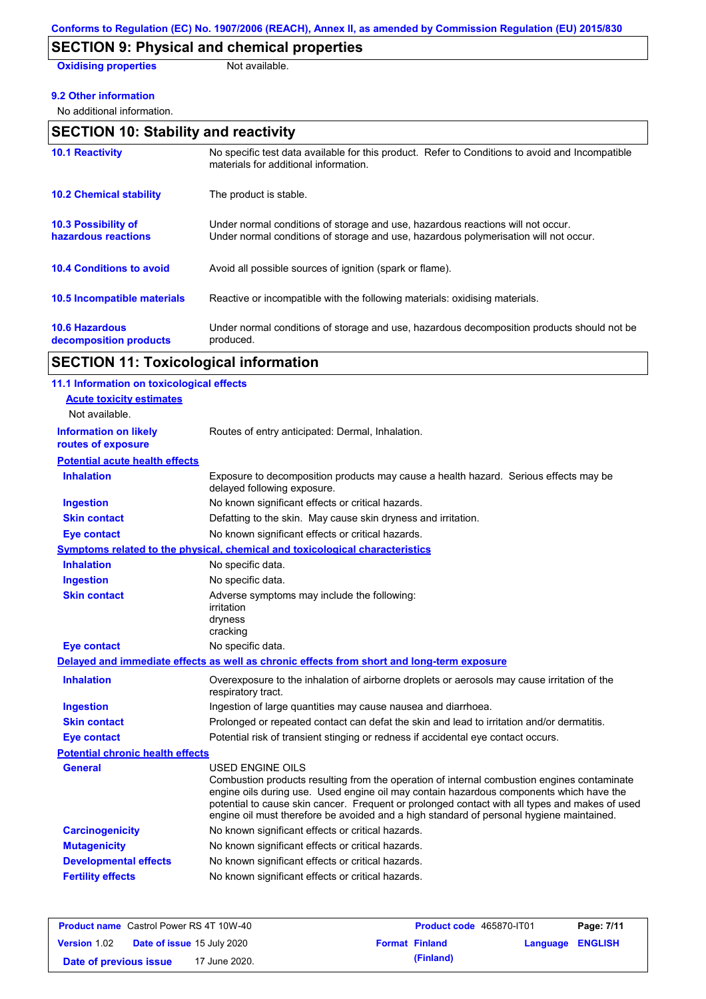# **SECTION 9: Physical and chemical properties**

**Oxidising properties** Not available.

### **9.2 Other information**

No additional information.

| <b>SECTION 10: Stability and reactivity</b>       |                                                                                                                                                                         |  |
|---------------------------------------------------|-------------------------------------------------------------------------------------------------------------------------------------------------------------------------|--|
| <b>10.1 Reactivity</b>                            | No specific test data available for this product. Refer to Conditions to avoid and Incompatible<br>materials for additional information.                                |  |
| <b>10.2 Chemical stability</b>                    | The product is stable.                                                                                                                                                  |  |
| <b>10.3 Possibility of</b><br>hazardous reactions | Under normal conditions of storage and use, hazardous reactions will not occur.<br>Under normal conditions of storage and use, hazardous polymerisation will not occur. |  |
| <b>10.4 Conditions to avoid</b>                   | Avoid all possible sources of ignition (spark or flame).                                                                                                                |  |
| <b>10.5 Incompatible materials</b>                | Reactive or incompatible with the following materials: oxidising materials.                                                                                             |  |
| <b>10.6 Hazardous</b><br>decomposition products   | Under normal conditions of storage and use, hazardous decomposition products should not be<br>produced.                                                                 |  |
|                                                   |                                                                                                                                                                         |  |

# **SECTION 11: Toxicological information**

| 11.1 Information on toxicological effects          |                                                                                                                                                                                                                                                                                                                                                                                                                 |
|----------------------------------------------------|-----------------------------------------------------------------------------------------------------------------------------------------------------------------------------------------------------------------------------------------------------------------------------------------------------------------------------------------------------------------------------------------------------------------|
| <b>Acute toxicity estimates</b>                    |                                                                                                                                                                                                                                                                                                                                                                                                                 |
| Not available.                                     |                                                                                                                                                                                                                                                                                                                                                                                                                 |
| <b>Information on likely</b><br>routes of exposure | Routes of entry anticipated: Dermal, Inhalation.                                                                                                                                                                                                                                                                                                                                                                |
| <b>Potential acute health effects</b>              |                                                                                                                                                                                                                                                                                                                                                                                                                 |
| <b>Inhalation</b>                                  | Exposure to decomposition products may cause a health hazard. Serious effects may be<br>delayed following exposure.                                                                                                                                                                                                                                                                                             |
| <b>Ingestion</b>                                   | No known significant effects or critical hazards.                                                                                                                                                                                                                                                                                                                                                               |
| <b>Skin contact</b>                                | Defatting to the skin. May cause skin dryness and irritation.                                                                                                                                                                                                                                                                                                                                                   |
| <b>Eye contact</b>                                 | No known significant effects or critical hazards.                                                                                                                                                                                                                                                                                                                                                               |
|                                                    | Symptoms related to the physical, chemical and toxicological characteristics                                                                                                                                                                                                                                                                                                                                    |
| <b>Inhalation</b>                                  | No specific data.                                                                                                                                                                                                                                                                                                                                                                                               |
| <b>Ingestion</b>                                   | No specific data.                                                                                                                                                                                                                                                                                                                                                                                               |
| <b>Skin contact</b>                                | Adverse symptoms may include the following:<br>irritation<br>dryness<br>cracking                                                                                                                                                                                                                                                                                                                                |
| <b>Eye contact</b>                                 | No specific data.                                                                                                                                                                                                                                                                                                                                                                                               |
|                                                    | Delayed and immediate effects as well as chronic effects from short and long-term exposure                                                                                                                                                                                                                                                                                                                      |
| <b>Inhalation</b>                                  | Overexposure to the inhalation of airborne droplets or aerosols may cause irritation of the<br>respiratory tract.                                                                                                                                                                                                                                                                                               |
| <b>Ingestion</b>                                   | Ingestion of large quantities may cause nausea and diarrhoea.                                                                                                                                                                                                                                                                                                                                                   |
| <b>Skin contact</b>                                | Prolonged or repeated contact can defat the skin and lead to irritation and/or dermatitis.                                                                                                                                                                                                                                                                                                                      |
| <b>Eye contact</b>                                 | Potential risk of transient stinging or redness if accidental eye contact occurs.                                                                                                                                                                                                                                                                                                                               |
| <b>Potential chronic health effects</b>            |                                                                                                                                                                                                                                                                                                                                                                                                                 |
| <b>General</b>                                     | <b>USED ENGINE OILS</b><br>Combustion products resulting from the operation of internal combustion engines contaminate<br>engine oils during use. Used engine oil may contain hazardous components which have the<br>potential to cause skin cancer. Frequent or prolonged contact with all types and makes of used<br>engine oil must therefore be avoided and a high standard of personal hygiene maintained. |
| <b>Carcinogenicity</b>                             | No known significant effects or critical hazards.                                                                                                                                                                                                                                                                                                                                                               |
| <b>Mutagenicity</b>                                |                                                                                                                                                                                                                                                                                                                                                                                                                 |
|                                                    | No known significant effects or critical hazards.                                                                                                                                                                                                                                                                                                                                                               |
| <b>Developmental effects</b>                       | No known significant effects or critical hazards.                                                                                                                                                                                                                                                                                                                                                               |

| <b>Product name</b> Castrol Power RS 4T 10W-40 |                                   | <b>Product code</b> 465870-IT01 |                         | Page: 7/11 |
|------------------------------------------------|-----------------------------------|---------------------------------|-------------------------|------------|
| <b>Version 1.02</b>                            | <b>Date of issue 15 July 2020</b> | <b>Format Finland</b>           | <b>Language ENGLISH</b> |            |
| Date of previous issue                         | 17 June 2020.                     | (Finland)                       |                         |            |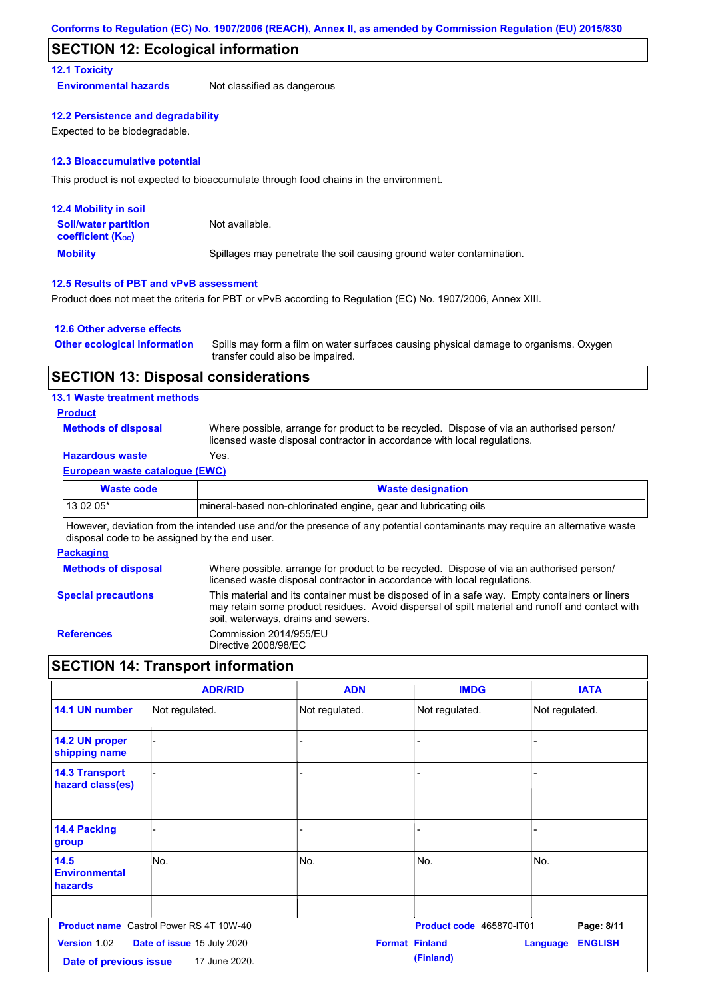### **SECTION 12: Ecological information**

### **12.1 Toxicity**

**Environmental hazards** Not classified as dangerous

### **12.2 Persistence and degradability**

Expected to be biodegradable.

### **12.3 Bioaccumulative potential**

This product is not expected to bioaccumulate through food chains in the environment.

| <b>12.4 Mobility in soil</b>                            |                                                                      |
|---------------------------------------------------------|----------------------------------------------------------------------|
| <b>Soil/water partition</b><br><b>coefficient (Koc)</b> | Not available.                                                       |
| <b>Mobility</b>                                         | Spillages may penetrate the soil causing ground water contamination. |

### **12.5 Results of PBT and vPvB assessment**

Product does not meet the criteria for PBT or vPvB according to Regulation (EC) No. 1907/2006, Annex XIII.

### **12.6 Other adverse effects**

| <b>Other ecological information</b> | Spills may form a film on water surfaces causing physical damage to organisms. Oxygen |
|-------------------------------------|---------------------------------------------------------------------------------------|
|                                     | transfer could also be impaired.                                                      |

## **SECTION 13: Disposal considerations**

### **13.1 Waste treatment methods**

### **Product**

**Methods of disposal**

Where possible, arrange for product to be recycled. Dispose of via an authorised person/ licensed waste disposal contractor in accordance with local regulations.

## **Hazardous waste** Yes.

### **European waste catalogue (EWC)**

| <b>Waste designation</b>                                         |
|------------------------------------------------------------------|
| Imineral-based non-chlorinated engine, gear and lubricating oils |
|                                                                  |

However, deviation from the intended use and/or the presence of any potential contaminants may require an alternative waste disposal code to be assigned by the end user.

### **Packaging**

| <b>Methods of disposal</b> | Where possible, arrange for product to be recycled. Dispose of via an authorised person/<br>licensed waste disposal contractor in accordance with local regulations.                                                                    |
|----------------------------|-----------------------------------------------------------------------------------------------------------------------------------------------------------------------------------------------------------------------------------------|
| <b>Special precautions</b> | This material and its container must be disposed of in a safe way. Empty containers or liners<br>may retain some product residues. Avoid dispersal of spilt material and runoff and contact with<br>soil, waterways, drains and sewers. |
| <b>References</b>          | Commission 2014/955/EU<br>Directive 2008/98/EC                                                                                                                                                                                          |

# **SECTION 14: Transport information**

|                                           | <b>ADR/RID</b>                                 | <b>ADN</b>            | <b>IMDG</b>              | <b>IATA</b>                       |
|-------------------------------------------|------------------------------------------------|-----------------------|--------------------------|-----------------------------------|
| 14.1 UN number                            | Not regulated.                                 | Not regulated.        | Not regulated.           | Not regulated.                    |
| 14.2 UN proper<br>shipping name           |                                                | L.                    |                          |                                   |
| <b>14.3 Transport</b><br>hazard class(es) |                                                |                       |                          |                                   |
| 14.4 Packing<br>group                     |                                                |                       |                          |                                   |
| 14.5<br><b>Environmental</b><br>hazards   | No.                                            | No.                   | No.                      | No.                               |
|                                           |                                                |                       |                          |                                   |
|                                           | <b>Product name</b> Castrol Power RS 4T 10W-40 |                       | Product code 465870-IT01 | Page: 8/11                        |
| Version 1.02                              | Date of issue 15 July 2020                     | <b>Format Finland</b> |                          | <b>ENGLISH</b><br><b>Language</b> |
| Date of previous issue                    | 17 June 2020.                                  |                       | (Finland)                |                                   |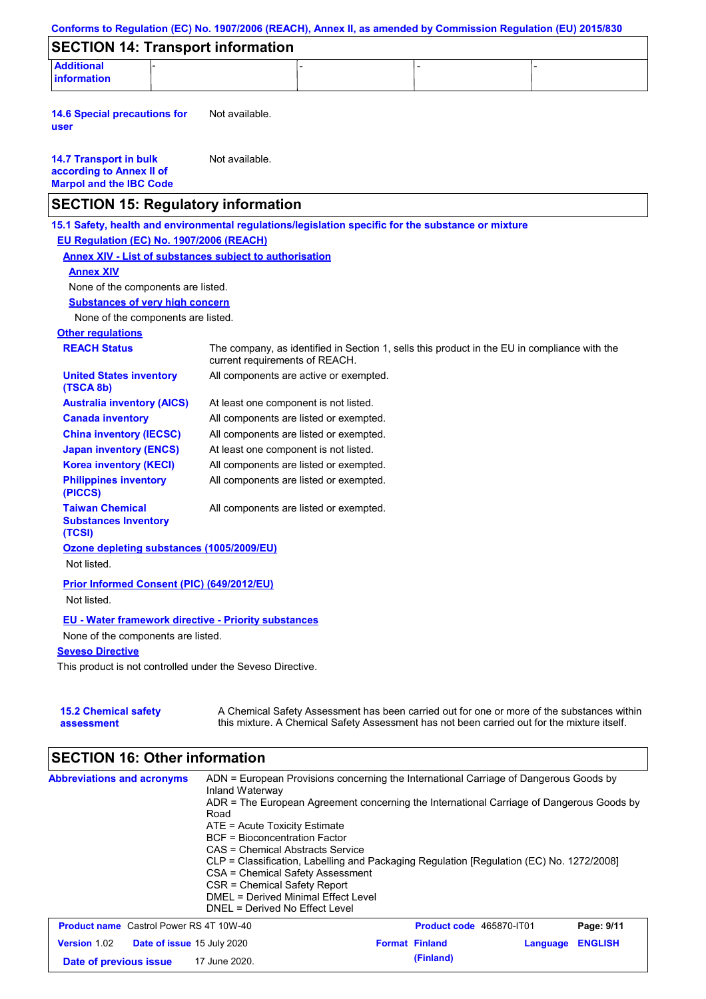| <b>Additional</b><br><b>information</b><br>Not available.<br><b>14.6 Special precautions for</b><br>user<br>Not available.<br><b>14.7 Transport in bulk</b><br>according to Annex II of<br><b>Marpol and the IBC Code</b><br><b>SECTION 15: Regulatory information</b><br>15.1 Safety, health and environmental regulations/legislation specific for the substance or mixture<br>EU Regulation (EC) No. 1907/2006 (REACH)<br><b>Annex XIV - List of substances subject to authorisation</b><br><b>Annex XIV</b><br>None of the components are listed.<br><b>Substances of very high concern</b><br>None of the components are listed.<br><b>Other regulations</b><br><b>REACH Status</b><br>The company, as identified in Section 1, sells this product in the EU in compliance with the<br>current requirements of REACH.<br><b>United States inventory</b><br>All components are active or exempted.<br>(TSCA 8b)<br><b>Australia inventory (AICS)</b><br>At least one component is not listed.<br><b>Canada inventory</b><br>All components are listed or exempted.<br><b>China inventory (IECSC)</b><br>All components are listed or exempted.<br><b>Japan inventory (ENCS)</b><br>At least one component is not listed.<br><b>Korea inventory (KECI)</b><br>All components are listed or exempted.<br><b>Philippines inventory</b><br>All components are listed or exempted.<br>(PICCS)<br><b>Taiwan Chemical</b><br>All components are listed or exempted.<br><b>Substances Inventory</b><br>(TCSI)<br>Ozone depleting substances (1005/2009/EU)<br>Not listed.<br>Prior Informed Consent (PIC) (649/2012/EU)<br>Not listed.<br><b>EU - Water framework directive - Priority substances</b><br>None of the components are listed.<br><b>Seveso Directive</b><br>This product is not controlled under the Seveso Directive.<br><b>15.2 Chemical safety</b><br>this mixture. A Chemical Safety Assessment has not been carried out for the mixture itself.<br>assessment<br><b>SECTION 16: Other information</b> | <b>SECTION 14: Transport information</b> | Conforms to Regulation (EC) No. 1907/2006 (REACH), Annex II, as amended by Commission Regulation (EU) 2015/830 |
|----------------------------------------------------------------------------------------------------------------------------------------------------------------------------------------------------------------------------------------------------------------------------------------------------------------------------------------------------------------------------------------------------------------------------------------------------------------------------------------------------------------------------------------------------------------------------------------------------------------------------------------------------------------------------------------------------------------------------------------------------------------------------------------------------------------------------------------------------------------------------------------------------------------------------------------------------------------------------------------------------------------------------------------------------------------------------------------------------------------------------------------------------------------------------------------------------------------------------------------------------------------------------------------------------------------------------------------------------------------------------------------------------------------------------------------------------------------------------------------------------------------------------------------------------------------------------------------------------------------------------------------------------------------------------------------------------------------------------------------------------------------------------------------------------------------------------------------------------------------------------------------------------------------------------------------------------------------------------------------------------------------------|------------------------------------------|----------------------------------------------------------------------------------------------------------------|
|                                                                                                                                                                                                                                                                                                                                                                                                                                                                                                                                                                                                                                                                                                                                                                                                                                                                                                                                                                                                                                                                                                                                                                                                                                                                                                                                                                                                                                                                                                                                                                                                                                                                                                                                                                                                                                                                                                                                                                                                                      |                                          |                                                                                                                |
|                                                                                                                                                                                                                                                                                                                                                                                                                                                                                                                                                                                                                                                                                                                                                                                                                                                                                                                                                                                                                                                                                                                                                                                                                                                                                                                                                                                                                                                                                                                                                                                                                                                                                                                                                                                                                                                                                                                                                                                                                      |                                          |                                                                                                                |
|                                                                                                                                                                                                                                                                                                                                                                                                                                                                                                                                                                                                                                                                                                                                                                                                                                                                                                                                                                                                                                                                                                                                                                                                                                                                                                                                                                                                                                                                                                                                                                                                                                                                                                                                                                                                                                                                                                                                                                                                                      |                                          |                                                                                                                |
|                                                                                                                                                                                                                                                                                                                                                                                                                                                                                                                                                                                                                                                                                                                                                                                                                                                                                                                                                                                                                                                                                                                                                                                                                                                                                                                                                                                                                                                                                                                                                                                                                                                                                                                                                                                                                                                                                                                                                                                                                      |                                          |                                                                                                                |
|                                                                                                                                                                                                                                                                                                                                                                                                                                                                                                                                                                                                                                                                                                                                                                                                                                                                                                                                                                                                                                                                                                                                                                                                                                                                                                                                                                                                                                                                                                                                                                                                                                                                                                                                                                                                                                                                                                                                                                                                                      |                                          |                                                                                                                |
|                                                                                                                                                                                                                                                                                                                                                                                                                                                                                                                                                                                                                                                                                                                                                                                                                                                                                                                                                                                                                                                                                                                                                                                                                                                                                                                                                                                                                                                                                                                                                                                                                                                                                                                                                                                                                                                                                                                                                                                                                      |                                          |                                                                                                                |
|                                                                                                                                                                                                                                                                                                                                                                                                                                                                                                                                                                                                                                                                                                                                                                                                                                                                                                                                                                                                                                                                                                                                                                                                                                                                                                                                                                                                                                                                                                                                                                                                                                                                                                                                                                                                                                                                                                                                                                                                                      |                                          |                                                                                                                |
|                                                                                                                                                                                                                                                                                                                                                                                                                                                                                                                                                                                                                                                                                                                                                                                                                                                                                                                                                                                                                                                                                                                                                                                                                                                                                                                                                                                                                                                                                                                                                                                                                                                                                                                                                                                                                                                                                                                                                                                                                      |                                          |                                                                                                                |
|                                                                                                                                                                                                                                                                                                                                                                                                                                                                                                                                                                                                                                                                                                                                                                                                                                                                                                                                                                                                                                                                                                                                                                                                                                                                                                                                                                                                                                                                                                                                                                                                                                                                                                                                                                                                                                                                                                                                                                                                                      |                                          |                                                                                                                |
|                                                                                                                                                                                                                                                                                                                                                                                                                                                                                                                                                                                                                                                                                                                                                                                                                                                                                                                                                                                                                                                                                                                                                                                                                                                                                                                                                                                                                                                                                                                                                                                                                                                                                                                                                                                                                                                                                                                                                                                                                      |                                          |                                                                                                                |
|                                                                                                                                                                                                                                                                                                                                                                                                                                                                                                                                                                                                                                                                                                                                                                                                                                                                                                                                                                                                                                                                                                                                                                                                                                                                                                                                                                                                                                                                                                                                                                                                                                                                                                                                                                                                                                                                                                                                                                                                                      |                                          |                                                                                                                |
|                                                                                                                                                                                                                                                                                                                                                                                                                                                                                                                                                                                                                                                                                                                                                                                                                                                                                                                                                                                                                                                                                                                                                                                                                                                                                                                                                                                                                                                                                                                                                                                                                                                                                                                                                                                                                                                                                                                                                                                                                      |                                          |                                                                                                                |
|                                                                                                                                                                                                                                                                                                                                                                                                                                                                                                                                                                                                                                                                                                                                                                                                                                                                                                                                                                                                                                                                                                                                                                                                                                                                                                                                                                                                                                                                                                                                                                                                                                                                                                                                                                                                                                                                                                                                                                                                                      |                                          |                                                                                                                |
|                                                                                                                                                                                                                                                                                                                                                                                                                                                                                                                                                                                                                                                                                                                                                                                                                                                                                                                                                                                                                                                                                                                                                                                                                                                                                                                                                                                                                                                                                                                                                                                                                                                                                                                                                                                                                                                                                                                                                                                                                      |                                          |                                                                                                                |
|                                                                                                                                                                                                                                                                                                                                                                                                                                                                                                                                                                                                                                                                                                                                                                                                                                                                                                                                                                                                                                                                                                                                                                                                                                                                                                                                                                                                                                                                                                                                                                                                                                                                                                                                                                                                                                                                                                                                                                                                                      |                                          |                                                                                                                |
|                                                                                                                                                                                                                                                                                                                                                                                                                                                                                                                                                                                                                                                                                                                                                                                                                                                                                                                                                                                                                                                                                                                                                                                                                                                                                                                                                                                                                                                                                                                                                                                                                                                                                                                                                                                                                                                                                                                                                                                                                      |                                          |                                                                                                                |
|                                                                                                                                                                                                                                                                                                                                                                                                                                                                                                                                                                                                                                                                                                                                                                                                                                                                                                                                                                                                                                                                                                                                                                                                                                                                                                                                                                                                                                                                                                                                                                                                                                                                                                                                                                                                                                                                                                                                                                                                                      |                                          |                                                                                                                |
|                                                                                                                                                                                                                                                                                                                                                                                                                                                                                                                                                                                                                                                                                                                                                                                                                                                                                                                                                                                                                                                                                                                                                                                                                                                                                                                                                                                                                                                                                                                                                                                                                                                                                                                                                                                                                                                                                                                                                                                                                      |                                          |                                                                                                                |
|                                                                                                                                                                                                                                                                                                                                                                                                                                                                                                                                                                                                                                                                                                                                                                                                                                                                                                                                                                                                                                                                                                                                                                                                                                                                                                                                                                                                                                                                                                                                                                                                                                                                                                                                                                                                                                                                                                                                                                                                                      |                                          |                                                                                                                |
|                                                                                                                                                                                                                                                                                                                                                                                                                                                                                                                                                                                                                                                                                                                                                                                                                                                                                                                                                                                                                                                                                                                                                                                                                                                                                                                                                                                                                                                                                                                                                                                                                                                                                                                                                                                                                                                                                                                                                                                                                      |                                          |                                                                                                                |
|                                                                                                                                                                                                                                                                                                                                                                                                                                                                                                                                                                                                                                                                                                                                                                                                                                                                                                                                                                                                                                                                                                                                                                                                                                                                                                                                                                                                                                                                                                                                                                                                                                                                                                                                                                                                                                                                                                                                                                                                                      |                                          |                                                                                                                |
|                                                                                                                                                                                                                                                                                                                                                                                                                                                                                                                                                                                                                                                                                                                                                                                                                                                                                                                                                                                                                                                                                                                                                                                                                                                                                                                                                                                                                                                                                                                                                                                                                                                                                                                                                                                                                                                                                                                                                                                                                      |                                          |                                                                                                                |
|                                                                                                                                                                                                                                                                                                                                                                                                                                                                                                                                                                                                                                                                                                                                                                                                                                                                                                                                                                                                                                                                                                                                                                                                                                                                                                                                                                                                                                                                                                                                                                                                                                                                                                                                                                                                                                                                                                                                                                                                                      |                                          |                                                                                                                |
|                                                                                                                                                                                                                                                                                                                                                                                                                                                                                                                                                                                                                                                                                                                                                                                                                                                                                                                                                                                                                                                                                                                                                                                                                                                                                                                                                                                                                                                                                                                                                                                                                                                                                                                                                                                                                                                                                                                                                                                                                      |                                          | A Chemical Safety Assessment has been carried out for one or more of the substances within                     |
|                                                                                                                                                                                                                                                                                                                                                                                                                                                                                                                                                                                                                                                                                                                                                                                                                                                                                                                                                                                                                                                                                                                                                                                                                                                                                                                                                                                                                                                                                                                                                                                                                                                                                                                                                                                                                                                                                                                                                                                                                      |                                          |                                                                                                                |

| <b>Abbreviations and acronyms</b>                 | ADN = European Provisions concerning the International Carriage of Dangerous Goods by<br>Inland Waterway<br>ADR = The European Agreement concerning the International Carriage of Dangerous Goods by<br>Road<br>$ATE = Acute Toxicity Estimate$<br>BCF = Bioconcentration Factor<br>CAS = Chemical Abstracts Service<br>CLP = Classification, Labelling and Packaging Regulation [Regulation (EC) No. 1272/2008]<br>CSA = Chemical Safety Assessment<br>CSR = Chemical Safety Report<br>DMEL = Derived Minimal Effect Level<br>DNEL = Derived No Effect Level |                          |          |                |
|---------------------------------------------------|---------------------------------------------------------------------------------------------------------------------------------------------------------------------------------------------------------------------------------------------------------------------------------------------------------------------------------------------------------------------------------------------------------------------------------------------------------------------------------------------------------------------------------------------------------------|--------------------------|----------|----------------|
| <b>Product name</b> Castrol Power RS 4T 10W-40    |                                                                                                                                                                                                                                                                                                                                                                                                                                                                                                                                                               | Product code 465870-IT01 |          | Page: 9/11     |
| <b>Version 1.02</b><br>Date of issue 15 July 2020 |                                                                                                                                                                                                                                                                                                                                                                                                                                                                                                                                                               | <b>Format Finland</b>    | Language | <b>ENGLISH</b> |
| Date of previous issue                            | 17 June 2020.                                                                                                                                                                                                                                                                                                                                                                                                                                                                                                                                                 | (Finland)                |          |                |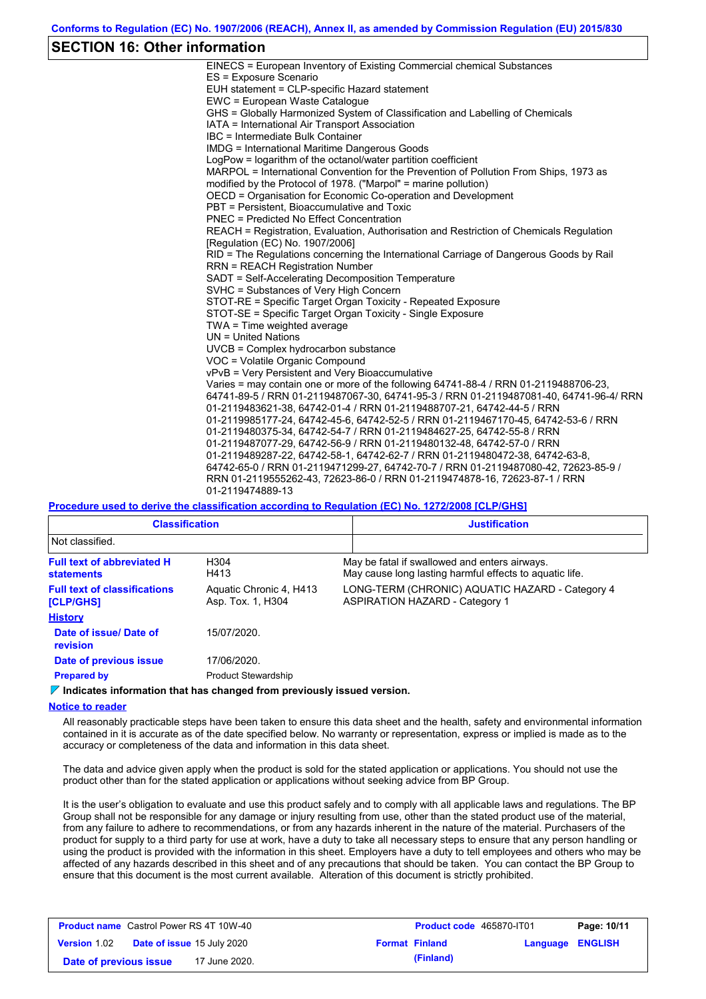## **SECTION 16: Other information**

| EINECS = European Inventory of Existing Commercial chemical Substances                  |
|-----------------------------------------------------------------------------------------|
| ES = Exposure Scenario                                                                  |
| EUH statement = CLP-specific Hazard statement                                           |
| EWC = European Waste Catalogue                                                          |
| GHS = Globally Harmonized System of Classification and Labelling of Chemicals           |
| IATA = International Air Transport Association                                          |
| IBC = Intermediate Bulk Container                                                       |
| <b>IMDG</b> = International Maritime Dangerous Goods                                    |
| LogPow = logarithm of the octanol/water partition coefficient                           |
| MARPOL = International Convention for the Prevention of Pollution From Ships, 1973 as   |
| modified by the Protocol of 1978. ("Marpol" = marine pollution)                         |
| OECD = Organisation for Economic Co-operation and Development                           |
| PBT = Persistent, Bioaccumulative and Toxic                                             |
| <b>PNEC = Predicted No Effect Concentration</b>                                         |
| REACH = Registration, Evaluation, Authorisation and Restriction of Chemicals Regulation |
| [Regulation (EC) No. 1907/2006]                                                         |
| RID = The Regulations concerning the International Carriage of Dangerous Goods by Rail  |
| <b>RRN = REACH Registration Number</b>                                                  |
| SADT = Self-Accelerating Decomposition Temperature                                      |
| SVHC = Substances of Very High Concern                                                  |
| STOT-RE = Specific Target Organ Toxicity - Repeated Exposure                            |
| STOT-SE = Specific Target Organ Toxicity - Single Exposure                              |
| TWA = Time weighted average                                                             |
| $UN = United Nations$                                                                   |
| UVCB = Complex hydrocarbon substance                                                    |
| VOC = Volatile Organic Compound                                                         |
| vPvB = Very Persistent and Very Bioaccumulative                                         |
| Varies = may contain one or more of the following 64741-88-4 / RRN 01-2119488706-23,    |
| 64741-89-5 / RRN 01-2119487067-30, 64741-95-3 / RRN 01-2119487081-40, 64741-96-4/ RRN   |
| 01-2119483621-38, 64742-01-4 / RRN 01-2119488707-21, 64742-44-5 / RRN                   |
| 01-2119985177-24, 64742-45-6, 64742-52-5 / RRN 01-2119467170-45, 64742-53-6 / RRN       |
| 01-2119480375-34, 64742-54-7 / RRN 01-2119484627-25, 64742-55-8 / RRN                   |
| 01-2119487077-29, 64742-56-9 / RRN 01-2119480132-48, 64742-57-0 / RRN                   |
| 01-2119489287-22, 64742-58-1, 64742-62-7 / RRN 01-2119480472-38, 64742-63-8,            |
| 64742-65-0 / RRN 01-2119471299-27, 64742-70-7 / RRN 01-2119487080-42, 72623-85-9 /      |
| RRN 01-2119555262-43, 72623-86-0 / RRN 01-2119474878-16, 72623-87-1 / RRN               |
| 01-2119474889-13                                                                        |
|                                                                                         |

**Procedure used to derive the classification according to Regulation (EC) No. 1272/2008 [CLP/GHS]**

| <b>Classification</b>                                   |                                              | <b>Justification</b>                                                                                     |
|---------------------------------------------------------|----------------------------------------------|----------------------------------------------------------------------------------------------------------|
| Not classified.                                         |                                              |                                                                                                          |
| <b>Full text of abbreviated H</b><br><b>statements</b>  | H <sub>304</sub><br>H413                     | May be fatal if swallowed and enters airways.<br>May cause long lasting harmful effects to aquatic life. |
| <b>Full text of classifications</b><br><b>[CLP/GHS]</b> | Aquatic Chronic 4, H413<br>Asp. Tox. 1, H304 | LONG-TERM (CHRONIC) AQUATIC HAZARD - Category 4<br><b>ASPIRATION HAZARD - Category 1</b>                 |
| <b>History</b>                                          |                                              |                                                                                                          |
| Date of issue/Date of<br>revision                       | 15/07/2020.                                  |                                                                                                          |
| Date of previous issue                                  | 17/06/2020.                                  |                                                                                                          |
| <b>Prepared by</b>                                      | <b>Product Stewardship</b>                   |                                                                                                          |

**Indicates information that has changed from previously issued version.**

#### **Notice to reader**

All reasonably practicable steps have been taken to ensure this data sheet and the health, safety and environmental information contained in it is accurate as of the date specified below. No warranty or representation, express or implied is made as to the accuracy or completeness of the data and information in this data sheet.

The data and advice given apply when the product is sold for the stated application or applications. You should not use the product other than for the stated application or applications without seeking advice from BP Group.

It is the user's obligation to evaluate and use this product safely and to comply with all applicable laws and regulations. The BP Group shall not be responsible for any damage or injury resulting from use, other than the stated product use of the material, from any failure to adhere to recommendations, or from any hazards inherent in the nature of the material. Purchasers of the product for supply to a third party for use at work, have a duty to take all necessary steps to ensure that any person handling or using the product is provided with the information in this sheet. Employers have a duty to tell employees and others who may be affected of any hazards described in this sheet and of any precautions that should be taken. You can contact the BP Group to ensure that this document is the most current available. Alteration of this document is strictly prohibited.

| <b>Product name</b> Castrol Power RS 4T 10W-40 |  |                                   | <b>Product code</b> 465870-IT01 |                       | Page: 10/11             |  |
|------------------------------------------------|--|-----------------------------------|---------------------------------|-----------------------|-------------------------|--|
| <b>Version</b> 1.02                            |  | <b>Date of issue 15 July 2020</b> |                                 | <b>Format Finland</b> | <b>Language ENGLISH</b> |  |
| Date of previous issue                         |  | 17 June 2020.                     |                                 | (Finland)             |                         |  |